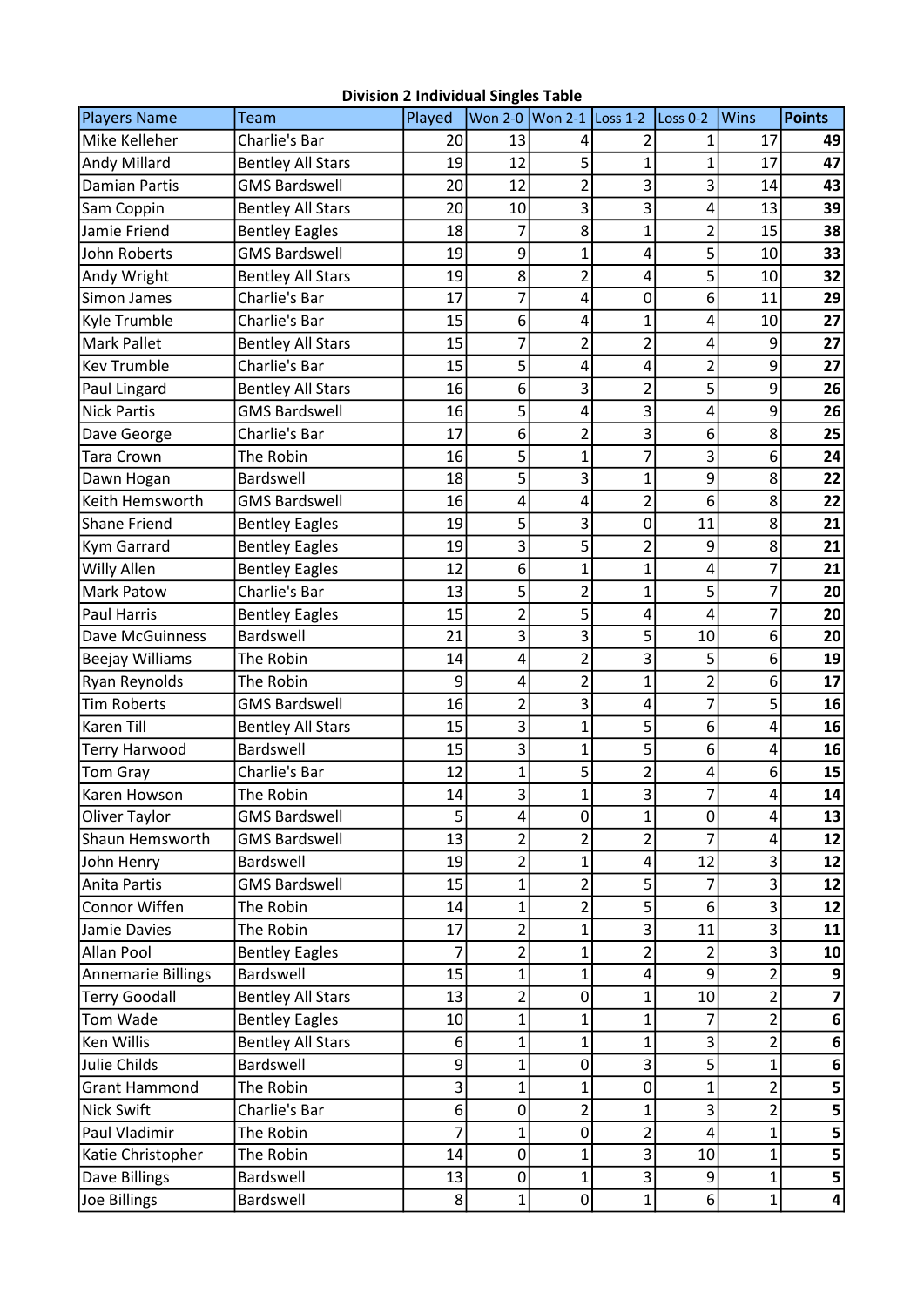## Division 2 Individual Singles Table

| <b>Players Name</b>       | Team                     | Played |                  | Won 2-0 Won 2-1 Loss 1-2 |                         | Loss 0-2       | <b>Wins</b>    | <b>Points</b>           |
|---------------------------|--------------------------|--------|------------------|--------------------------|-------------------------|----------------|----------------|-------------------------|
| Mike Kelleher             | <b>Charlie's Bar</b>     | 20     | 13               | 4                        | $\overline{2}$          | 1              | 17             | 49                      |
| Andy Millard              | <b>Bentley All Stars</b> | 19     | 12               | 5                        | 1                       | $\mathbf{1}$   | 17             | 47                      |
| <b>Damian Partis</b>      | <b>GMS Bardswell</b>     | 20     | 12               | $\overline{2}$           | 3                       | 3              | 14             | 43                      |
| Sam Coppin                | <b>Bentley All Stars</b> | 20     | 10               | 3                        | 3                       | 4              | 13             | 39                      |
| Jamie Friend              | <b>Bentley Eagles</b>    | 18     | 7                | 8                        | $\mathbf{1}$            | $\overline{2}$ | 15             | 38                      |
| John Roberts              | <b>GMS Bardswell</b>     | 19     | 9                | $\mathbf 1$              | 4                       | 5              | 10             | 33                      |
| Andy Wright               | <b>Bentley All Stars</b> | 19     | 8                | $\overline{c}$           | 4                       | 5              | 10             | 32                      |
| Simon James               | Charlie's Bar            | 17     | 7                | 4                        | $\mathbf 0$             | 6              | 11             | 29                      |
| Kyle Trumble              | Charlie's Bar            | 15     | 6                | 4                        | 1                       | 4              | 10             | 27                      |
| <b>Mark Pallet</b>        | <b>Bentley All Stars</b> | 15     | 7                | $\overline{2}$           | $\overline{2}$          | 4              | 9              | 27                      |
| <b>Kev Trumble</b>        | Charlie's Bar            | 15     | 5                | 4                        | 4                       | $\overline{2}$ | 9              | 27                      |
| Paul Lingard              | <b>Bentley All Stars</b> | 16     | 6                | 3                        | $\overline{2}$          | 5              | 9              | 26                      |
| <b>Nick Partis</b>        | <b>GMS Bardswell</b>     | 16     | 5                | 4                        | 3                       | 4              | 9              | 26                      |
| Dave George               | Charlie's Bar            | 17     | 6                | $\overline{c}$           | 3                       | 6              | 8              | 25                      |
| Tara Crown                | The Robin                | 16     | 5                | $\mathbf{1}$             | 7                       | 3              | 6              | 24                      |
| Dawn Hogan                | Bardswell                | 18     | 5                | 3                        | $\mathbf 1$             | 9              | 8              | 22                      |
| Keith Hemsworth           | <b>GMS Bardswell</b>     | 16     | 4                | 4                        | $\overline{c}$          | 6              | 8              | 22                      |
| <b>Shane Friend</b>       | <b>Bentley Eagles</b>    | 19     | 5                | 3                        | 0                       | 11             | 8              | 21                      |
| Kym Garrard               | <b>Bentley Eagles</b>    | 19     | 3                | 5                        | $\overline{2}$          | 9              | 8              | 21                      |
| Willy Allen               | <b>Bentley Eagles</b>    | 12     | 6                | $\mathbf{1}$             | $\mathbf 1$             | 4              | $\overline{7}$ | 21                      |
| Mark Patow                | Charlie's Bar            | 13     | 5                | $\overline{2}$           | 1                       | 5              | 7              | 20                      |
| <b>Paul Harris</b>        | <b>Bentley Eagles</b>    | 15     | $\overline{2}$   | 5                        | 4                       | 4              | 7              | 20                      |
| Dave McGuinness           | Bardswell                | 21     | 3                | 3                        | 5                       | 10             | 6              | 20                      |
| <b>Beejay Williams</b>    | The Robin                | 14     | 4                | $\overline{c}$           | 3                       | 5              | 6              | 19                      |
| Ryan Reynolds             | The Robin                | 9      | 4                | $\overline{\mathbf{c}}$  | 1                       | $\overline{2}$ | 6              | 17                      |
| <b>Tim Roberts</b>        | <b>GMS Bardswell</b>     | 16     | $\overline{2}$   | 3                        | 4                       | 7              | 5              | 16                      |
| <b>Karen Till</b>         | <b>Bentley All Stars</b> | 15     | 3                | $\mathbf{1}$             | 5                       | 6              | 4              | 16                      |
| Terry Harwood             | Bardswell                | 15     | 3                | $\mathbf 1$              | 5                       | 6              | 4              | 16                      |
| <b>Tom Gray</b>           | Charlie's Bar            | 12     | 1                | 5                        | $\overline{\mathbf{c}}$ | 4              | 6              | 15                      |
| Karen Howson              | The Robin                | 14     | 3                | 1                        | $\overline{3}$          | $\overline{7}$ | 4              | 14                      |
| Oliver Taylor             | <b>GMS Bardswell</b>     | 5      | $\overline{4}$   | 0                        | 1                       | 0              | 4              | 13                      |
| Shaun Hemsworth           | <b>GMS Bardswell</b>     | 13     | 2                | $\overline{2}$           | 2                       |                | 4              | 12                      |
| John Henry                | Bardswell                | 19     | $\overline{2}$   | 1                        | 4                       | 12             | 3              | 12                      |
| <b>Anita Partis</b>       | <b>GMS Bardswell</b>     | 15     | $\mathbf{1}$     | $\overline{c}$           | 5                       | 7              | 3              | 12                      |
| Connor Wiffen             | The Robin                | 14     | $\mathbf 1$      | $\overline{c}$           | 5 <sup>1</sup>          | 6              | 3              | 12                      |
| Jamie Davies              | The Robin                | 17     | $\overline{2}$   | 1                        | 3                       | 11             | 3              | 11                      |
| <b>Allan Pool</b>         | <b>Bentley Eagles</b>    | 7      | $\overline{2}$   | 1                        | 2                       | $\overline{2}$ | 3              | 10                      |
| <b>Annemarie Billings</b> | Bardswell                | 15     | 1                | 1                        | 4                       | 9              | 2              | 9                       |
| <b>Terry Goodall</b>      | <b>Bentley All Stars</b> | 13     | $\overline{2}$   | 0                        | 1                       | 10             | 2              | $\overline{\mathbf{z}}$ |
| Tom Wade                  | <b>Bentley Eagles</b>    | 10     | $\mathbf 1$      | 1                        | 1                       |                | 2              | $6 \overline{6}$        |
| Ken Willis                | <b>Bentley All Stars</b> | 6      | 1                | 1                        | 1                       | 3              | $\overline{2}$ | $\bf 6$                 |
| Julie Childs              | Bardswell                | 9      | $\mathbf{1}$     | 0                        | 3                       | 5              | 1              | 6                       |
| <b>Grant Hammond</b>      | The Robin                | 3      | 1                | 1                        | 0                       | $\mathbf{1}$   | $\overline{2}$ | 5                       |
| <b>Nick Swift</b>         | Charlie's Bar            | 6      | $\mathbf 0$      | 2                        | 1                       | 3              | $\overline{2}$ | 5                       |
| Paul Vladimir             | The Robin                |        | 1                | 0                        | 2                       | 4              | 1              | 5                       |
| Katie Christopher         | The Robin                | 14     | $\mathbf 0$      | 1                        | 3                       | 10             | $\mathbf 1$    | 5                       |
| Dave Billings             | Bardswell                | 13     | $\boldsymbol{0}$ | 1                        | 3                       | 9              | 1              | 5 <sup>1</sup>          |
| Joe Billings              | Bardswell                | 8      | 1                | 0                        | $\mathbf{1}$            | $6 \mid$       | $1\vert$       | $\vert 4 \vert$         |